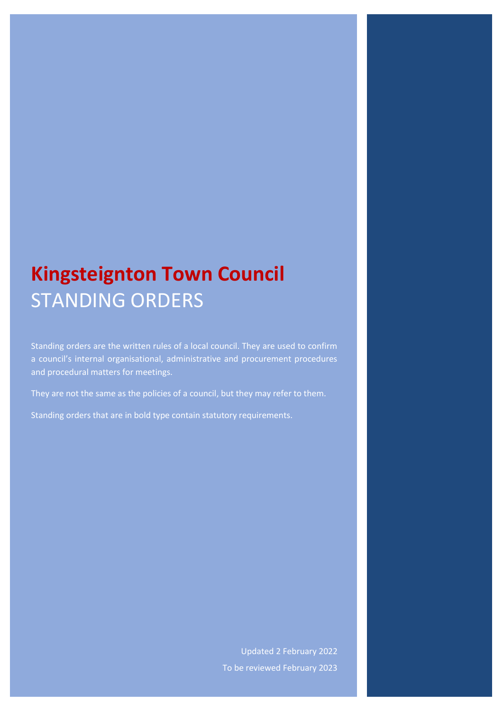# **Kingsteignton Town Council** STANDING ORDERS

Standing orders are the written rules of a local council. They are used to confirm a council's internal organisational, administrative and procurement procedures and procedural matters for meetings.

They are not the same as the policies of a council, but they may refer to them.

Standing orders that are in bold type contain statutory requirements.

Updated 2 February 2022 To be reviewed February 2023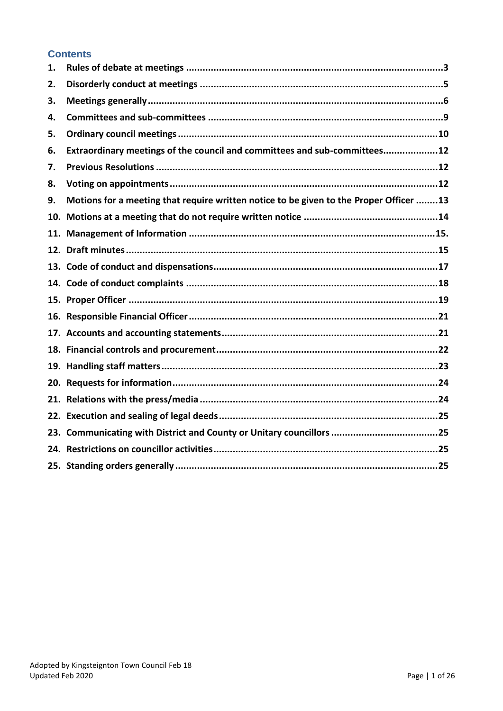#### **Contents**

| 1. |                                                                                        |
|----|----------------------------------------------------------------------------------------|
| 2. |                                                                                        |
| 3. |                                                                                        |
| 4. |                                                                                        |
| 5. |                                                                                        |
| 6. | Extraordinary meetings of the council and committees and sub-committees12              |
| 7. |                                                                                        |
| 8. |                                                                                        |
| 9. | Motions for a meeting that require written notice to be given to the Proper Officer 13 |
|    |                                                                                        |
|    |                                                                                        |
|    |                                                                                        |
|    |                                                                                        |
|    |                                                                                        |
|    |                                                                                        |
|    |                                                                                        |
|    |                                                                                        |
|    |                                                                                        |
|    |                                                                                        |
|    |                                                                                        |
|    |                                                                                        |
|    |                                                                                        |
|    |                                                                                        |
|    |                                                                                        |
|    |                                                                                        |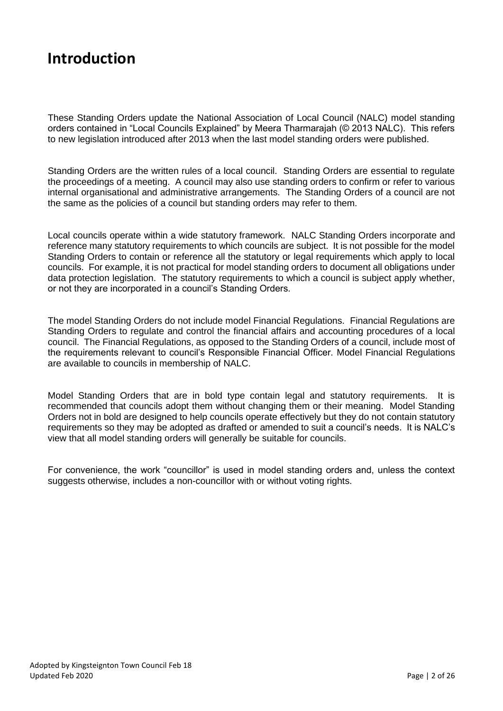#### **Introduction**

These Standing Orders update the National Association of Local Council (NALC) model standing orders contained in "Local Councils Explained" by Meera Tharmarajah (© 2013 NALC). This refers to new legislation introduced after 2013 when the last model standing orders were published.

Standing Orders are the written rules of a local council. Standing Orders are essential to regulate the proceedings of a meeting. A council may also use standing orders to confirm or refer to various internal organisational and administrative arrangements. The Standing Orders of a council are not the same as the policies of a council but standing orders may refer to them.

Local councils operate within a wide statutory framework. NALC Standing Orders incorporate and reference many statutory requirements to which councils are subject. It is not possible for the model Standing Orders to contain or reference all the statutory or legal requirements which apply to local councils. For example, it is not practical for model standing orders to document all obligations under data protection legislation. The statutory requirements to which a council is subject apply whether, or not they are incorporated in a council's Standing Orders.

The model Standing Orders do not include model Financial Regulations. Financial Regulations are Standing Orders to regulate and control the financial affairs and accounting procedures of a local council. The Financial Regulations, as opposed to the Standing Orders of a council, include most of the requirements relevant to council's Responsible Financial Officer. Model Financial Regulations are available to councils in membership of NALC.

Model Standing Orders that are in bold type contain legal and statutory requirements. It is recommended that councils adopt them without changing them or their meaning. Model Standing Orders not in bold are designed to help councils operate effectively but they do not contain statutory requirements so they may be adopted as drafted or amended to suit a council's needs. It is NALC's view that all model standing orders will generally be suitable for councils.

For convenience, the work "councillor" is used in model standing orders and, unless the context suggests otherwise, includes a non-councillor with or without voting rights.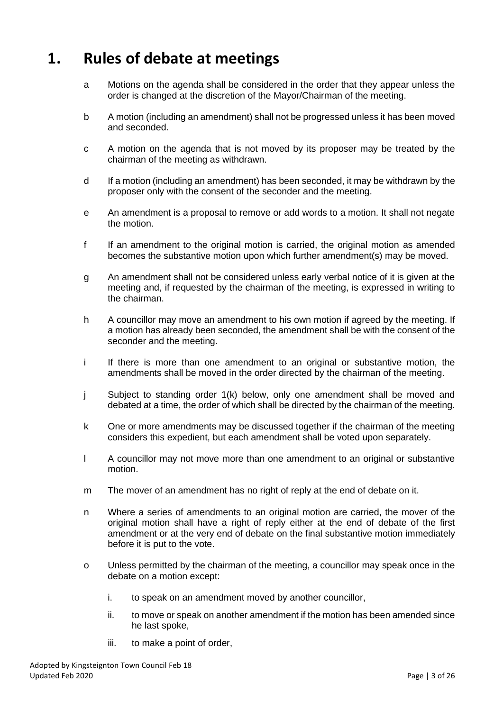#### <span id="page-3-0"></span>**1. Rules of debate at meetings**

- a Motions on the agenda shall be considered in the order that they appear unless the order is changed at the discretion of the Mayor/Chairman of the meeting.
- b A motion (including an amendment) shall not be progressed unless it has been moved and seconded.
- c A motion on the agenda that is not moved by its proposer may be treated by the chairman of the meeting as withdrawn.
- d If a motion (including an amendment) has been seconded, it may be withdrawn by the proposer only with the consent of the seconder and the meeting.
- e An amendment is a proposal to remove or add words to a motion. It shall not negate the motion.
- f If an amendment to the original motion is carried, the original motion as amended becomes the substantive motion upon which further amendment(s) may be moved.
- g An amendment shall not be considered unless early verbal notice of it is given at the meeting and, if requested by the chairman of the meeting, is expressed in writing to the chairman.
- h A councillor may move an amendment to his own motion if agreed by the meeting. If a motion has already been seconded, the amendment shall be with the consent of the seconder and the meeting.
- i If there is more than one amendment to an original or substantive motion, the amendments shall be moved in the order directed by the chairman of the meeting.
- j Subject to standing order 1(k) below, only one amendment shall be moved and debated at a time, the order of which shall be directed by the chairman of the meeting.
- k One or more amendments may be discussed together if the chairman of the meeting considers this expedient, but each amendment shall be voted upon separately.
- l A councillor may not move more than one amendment to an original or substantive motion.
- m The mover of an amendment has no right of reply at the end of debate on it.
- n Where a series of amendments to an original motion are carried, the mover of the original motion shall have a right of reply either at the end of debate of the first amendment or at the very end of debate on the final substantive motion immediately before it is put to the vote.
- o Unless permitted by the chairman of the meeting, a councillor may speak once in the debate on a motion except:
	- i. to speak on an amendment moved by another councillor,
	- ii. to move or speak on another amendment if the motion has been amended since he last spoke,
	- iii. to make a point of order,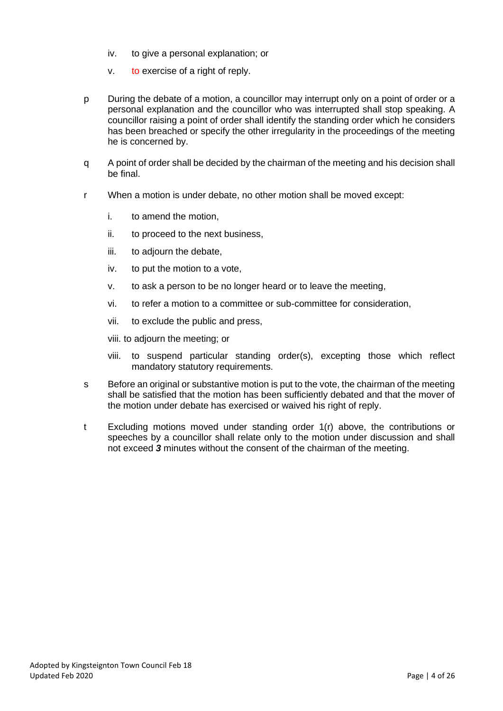- iv. to give a personal explanation; or
- v. to exercise of a right of reply.
- p During the debate of a motion, a councillor may interrupt only on a point of order or a personal explanation and the councillor who was interrupted shall stop speaking. A councillor raising a point of order shall identify the standing order which he considers has been breached or specify the other irregularity in the proceedings of the meeting he is concerned by.
- q A point of order shall be decided by the chairman of the meeting and his decision shall be final.
- r When a motion is under debate, no other motion shall be moved except:
	- i. to amend the motion,
	- ii. to proceed to the next business,
	- iii. to adjourn the debate,
	- iv. to put the motion to a vote,
	- v. to ask a person to be no longer heard or to leave the meeting,
	- vi. to refer a motion to a committee or sub-committee for consideration,
	- vii. to exclude the public and press,
	- viii. to adjourn the meeting; or
	- viii. to suspend particular standing order(s), excepting those which reflect mandatory statutory requirements.
- s Before an original or substantive motion is put to the vote, the chairman of the meeting shall be satisfied that the motion has been sufficiently debated and that the mover of the motion under debate has exercised or waived his right of reply.
- t Excluding motions moved under standing order 1(r) above, the contributions or speeches by a councillor shall relate only to the motion under discussion and shall not exceed *3* minutes without the consent of the chairman of the meeting.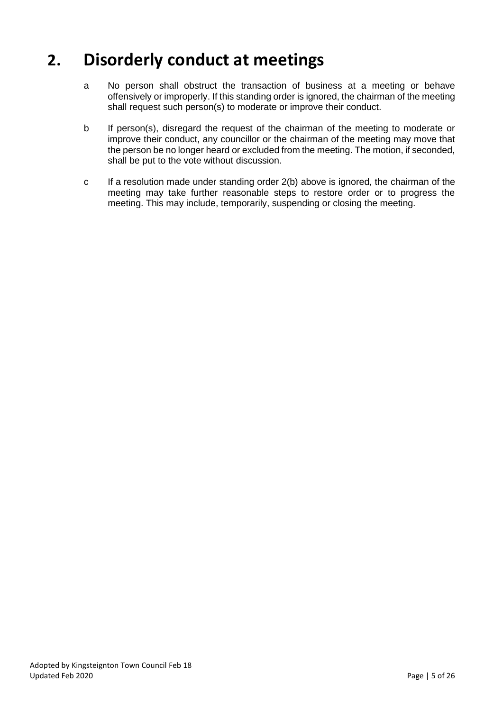#### <span id="page-5-0"></span>**2. Disorderly conduct at meetings**

- a No person shall obstruct the transaction of business at a meeting or behave offensively or improperly. If this standing order is ignored, the chairman of the meeting shall request such person(s) to moderate or improve their conduct.
- b If person(s), disregard the request of the chairman of the meeting to moderate or improve their conduct, any councillor or the chairman of the meeting may move that the person be no longer heard or excluded from the meeting. The motion, if seconded, shall be put to the vote without discussion.
- c If a resolution made under standing order 2(b) above is ignored, the chairman of the meeting may take further reasonable steps to restore order or to progress the meeting. This may include, temporarily, suspending or closing the meeting.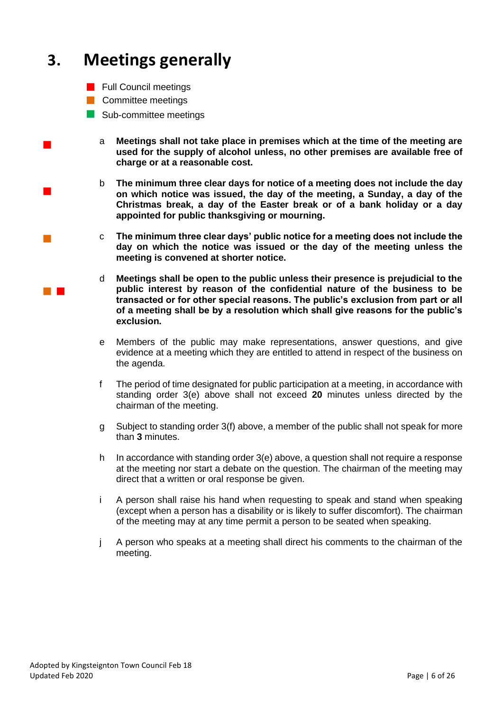## <span id="page-6-0"></span>**3. Meetings generally**

- **Full Council meetings**
- **Committee meetings**

 $\mathcal{L}_{\mathcal{A}}$ 

 $\mathcal{L}^{\text{max}}_{\text{max}}$ 

- Sub-committee meetings
	- <sup>a</sup> **Meetings shall not take place in premises which at the time of the meeting are used for the supply of alcohol unless, no other premises are available free of charge or at a reasonable cost.**
	- b **The minimum three clear days for notice of a meeting does not include the day on which notice was issued, the day of the meeting, a Sunday, a day of the Christmas break, a day of the Easter break or of a bank holiday or a day appointed for public thanksgiving or mourning.**
	- <sup>c</sup> **The minimum three clear days' public notice for a meeting does not include the day on which the notice was issued or the day of the meeting unless the meeting is convened at shorter notice.**
	- d **Meetings shall be open to the public unless their presence is prejudicial to the public interest by reason of the confidential nature of the business to be transacted or for other special reasons. The public's exclusion from part or all of a meeting shall be by a resolution which shall give reasons for the public's exclusion.**
	- e Members of the public may make representations, answer questions, and give evidence at a meeting which they are entitled to attend in respect of the business on the agenda.
	- f The period of time designated for public participation at a meeting, in accordance with standing order 3(e) above shall not exceed **20** minutes unless directed by the chairman of the meeting.
	- g Subject to standing order 3(f) above, a member of the public shall not speak for more than **3** minutes.
	- h In accordance with standing order 3(e) above, a question shall not require a response at the meeting nor start a debate on the question. The chairman of the meeting may direct that a written or oral response be given.
	- i A person shall raise his hand when requesting to speak and stand when speaking (except when a person has a disability or is likely to suffer discomfort). The chairman of the meeting may at any time permit a person to be seated when speaking.
	- j A person who speaks at a meeting shall direct his comments to the chairman of the meeting.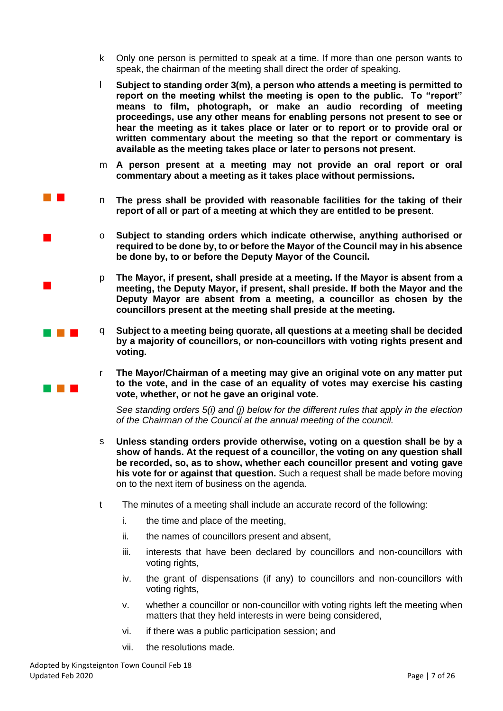- k Only one person is permitted to speak at a time. If more than one person wants to speak, the chairman of the meeting shall direct the order of speaking.
- l **Subject to standing order 3(m), a person who attends a meeting is permitted to report on the meeting whilst the meeting is open to the public. To "report" means to film, photograph, or make an audio recording of meeting proceedings, use any other means for enabling persons not present to see or hear the meeting as it takes place or later or to report or to provide oral or written commentary about the meeting so that the report or commentary is available as the meeting takes place or later to persons not present.**
- m **A person present at a meeting may not provide an oral report or oral commentary about a meeting as it takes place without permissions.**
- **The Following The press shall be provided with reasonable facilities for the taking of their report of all or part of a meeting at which they are entitled to be present**.
	- <sup>o</sup> **Subject to standing orders which indicate otherwise, anything authorised or required to be done by, to or before the Mayor of the Council may in his absence be done by, to or before the Deputy Mayor of the Council.**
	- p **The Mayor, if present, shall preside at a meeting. If the Mayor is absent from a meeting, the Deputy Mayor, if present, shall preside. If both the Mayor and the Deputy Mayor are absent from a meeting, a councillor as chosen by the councillors present at the meeting shall preside at the meeting.**
- **q Subject to a meeting being quorate, all questions at a meeting shall be decided <b>a by a majority of councillors, or non-councillors with voting rights present and voting.**
	- r **The Mayor/Chairman of a meeting may give an original vote on any matter put to the vote, and in the case of an equality of votes may exercise his casting vote, whether, or not he gave an original vote.**

*See standing orders 5(i) and (j) below for the different rules that apply in the election of the Chairman of the Council at the annual meeting of the council.*

- s **Unless standing orders provide otherwise, voting on a question shall be by a show of hands. At the request of a councillor, the voting on any question shall be recorded, so, as to show, whether each councillor present and voting gave his vote for or against that question.** Such a request shall be made before moving on to the next item of business on the agenda.
- t The minutes of a meeting shall include an accurate record of the following:
	- i. the time and place of the meeting,
	- ii. the names of councillors present and absent,
	- iii. interests that have been declared by councillors and non-councillors with voting rights,
	- iv. the grant of dispensations (if any) to councillors and non-councillors with voting rights,
	- v. whether a councillor or non-councillor with voting rights left the meeting when matters that they held interests in were being considered,
	- vi. if there was a public participation session; and
	- vii. the resolutions made.

 $\mathcal{L}_{\mathcal{A}}$ 

a kacamatan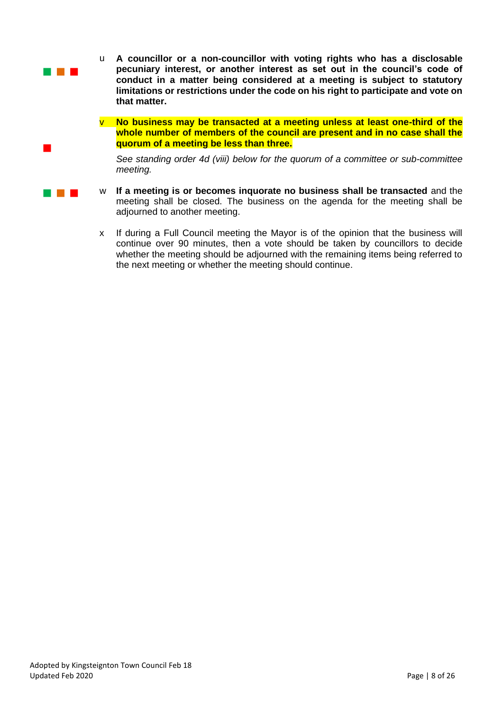

- <sup>w</sup> **If a meeting is or becomes inquorate no business shall be transacted** and the meeting shall be closed. The business on the agenda for the meeting shall be adjourned to another meeting.
- x If during a Full Council meeting the Mayor is of the opinion that the business will continue over 90 minutes, then a vote should be taken by councillors to decide whether the meeting should be adjourned with the remaining items being referred to the next meeting or whether the meeting should continue.

 $\overline{\phantom{a}}$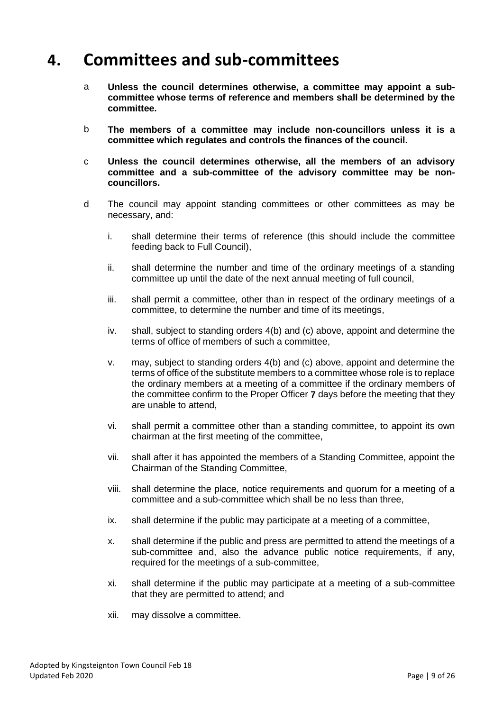#### <span id="page-9-0"></span>**4. Committees and sub-committees**

- a **Unless the council determines otherwise, a committee may appoint a subcommittee whose terms of reference and members shall be determined by the committee.**
- b **The members of a committee may include non-councillors unless it is a committee which regulates and controls the finances of the council.**
- c **Unless the council determines otherwise, all the members of an advisory committee and a sub-committee of the advisory committee may be noncouncillors.**
- d The council may appoint standing committees or other committees as may be necessary, and:
	- i. shall determine their terms of reference (this should include the committee feeding back to Full Council),
	- ii. shall determine the number and time of the ordinary meetings of a standing committee up until the date of the next annual meeting of full council,
	- iii. shall permit a committee, other than in respect of the ordinary meetings of a committee, to determine the number and time of its meetings,
	- iv. shall, subject to standing orders 4(b) and (c) above, appoint and determine the terms of office of members of such a committee,
	- v. may, subject to standing orders 4(b) and (c) above, appoint and determine the terms of office of the substitute members to a committee whose role is to replace the ordinary members at a meeting of a committee if the ordinary members of the committee confirm to the Proper Officer **7** days before the meeting that they are unable to attend,
	- vi. shall permit a committee other than a standing committee, to appoint its own chairman at the first meeting of the committee,
	- vii. shall after it has appointed the members of a Standing Committee, appoint the Chairman of the Standing Committee,
	- viii. shall determine the place, notice requirements and quorum for a meeting of a committee and a sub-committee which shall be no less than three,
	- ix. shall determine if the public may participate at a meeting of a committee,
	- x. shall determine if the public and press are permitted to attend the meetings of a sub-committee and, also the advance public notice requirements, if any, required for the meetings of a sub-committee,
	- xi. shall determine if the public may participate at a meeting of a sub-committee that they are permitted to attend; and
	- xii. may dissolve a committee.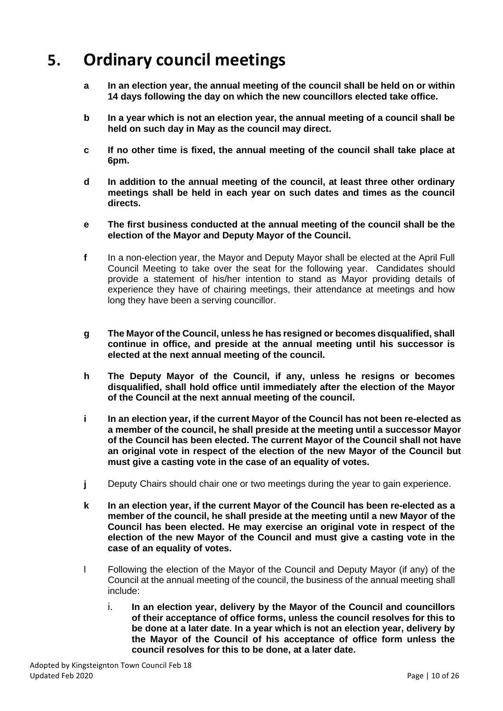## <span id="page-10-0"></span>**5. Ordinary council meetings**

- **a In an election year, the annual meeting of the council shall be held on or within 14 days following the day on which the new councillors elected take office.**
- **b In a year which is not an election year, the annual meeting of a council shall be held on such day in May as the council may direct.**
- **c If no other time is fixed, the annual meeting of the council shall take place at 6pm.**
- **d In addition to the annual meeting of the council, at least three other ordinary meetings shall be held in each year on such dates and times as the council directs.**
- **e The first business conducted at the annual meeting of the council shall be the election of the Mayor and Deputy Mayor of the Council.**
- **f** In a non-election year, the Mayor and Deputy Mayor shall be elected at the April Full Council Meeting to take over the seat for the following year. Candidates should provide a statement of his/her intention to stand as Mayor providing details of experience they have of chairing meetings, their attendance at meetings and how long they have been a serving councillor.
- **g The Mayor of the Council, unless he has resigned or becomes disqualified, shall continue in office, and preside at the annual meeting until his successor is elected at the next annual meeting of the council.**
- **h The Deputy Mayor of the Council, if any, unless he resigns or becomes disqualified, shall hold office until immediately after the election of the Mayor of the Council at the next annual meeting of the council.**
- **i In an election year, if the current Mayor of the Council has not been re-elected as a member of the council, he shall preside at the meeting until a successor Mayor of the Council has been elected. The current Mayor of the Council shall not have an original vote in respect of the election of the new Mayor of the Council but must give a casting vote in the case of an equality of votes.**
- **j** Deputy Chairs should chair one or two meetings during the year to gain experience.
- **k In an election year, if the current Mayor of the Council has been re-elected as a member of the council, he shall preside at the meeting until a new Mayor of the Council has been elected. He may exercise an original vote in respect of the election of the new Mayor of the Council and must give a casting vote in the case of an equality of votes.**
- l Following the election of the Mayor of the Council and Deputy Mayor (if any) of the Council at the annual meeting of the council, the business of the annual meeting shall include:
	- i. **In an election year, delivery by the Mayor of the Council and councillors of their acceptance of office forms, unless the council resolves for this to be done at a later date**. **In a year which is not an election year, delivery by the Mayor of the Council of his acceptance of office form unless the council resolves for this to be done, at a later date.**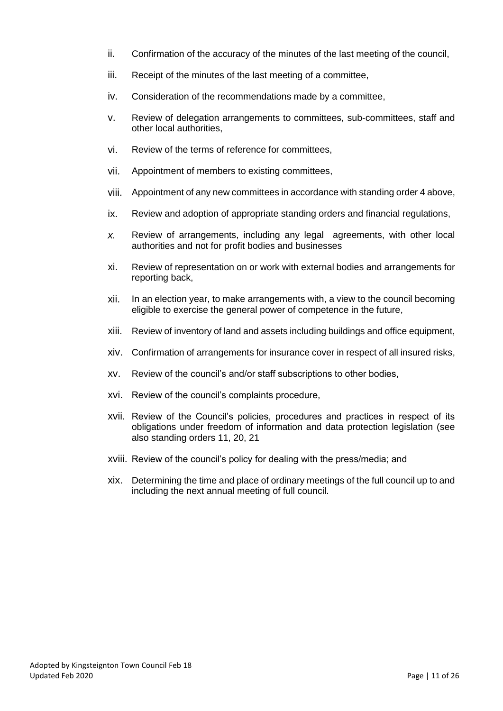- ii. Confirmation of the accuracy of the minutes of the last meeting of the council,
- iii. Receipt of the minutes of the last meeting of a committee,
- iv. Consideration of the recommendations made by a committee,
- v. Review of delegation arrangements to committees, sub-committees, staff and other local authorities,
- vi. Review of the terms of reference for committees,
- vii. Appointment of members to existing committees,
- viii. Appointment of any new committees in accordance with standing order 4 above,
- ix. Review and adoption of appropriate standing orders and financial regulations,
- *x.* Review of arrangements, including any legal agreements, with other local authorities and not for profit bodies and businesses
- xi. Review of representation on or work with external bodies and arrangements for reporting back,
- xii. In an election year, to make arrangements with, a view to the council becoming eligible to exercise the general power of competence in the future,
- xiii. Review of inventory of land and assets including buildings and office equipment,
- xiv. Confirmation of arrangements for insurance cover in respect of all insured risks,
- xv. Review of the council's and/or staff subscriptions to other bodies,
- xvi. Review of the council's complaints procedure,
- xvii. Review of the Council's policies, procedures and practices in respect of its obligations under freedom of information and data protection legislation (see also standing orders 11, 20, 21
- xviii. Review of the council's policy for dealing with the press/media; and
- xix. Determining the time and place of ordinary meetings of the full council up to and including the next annual meeting of full council.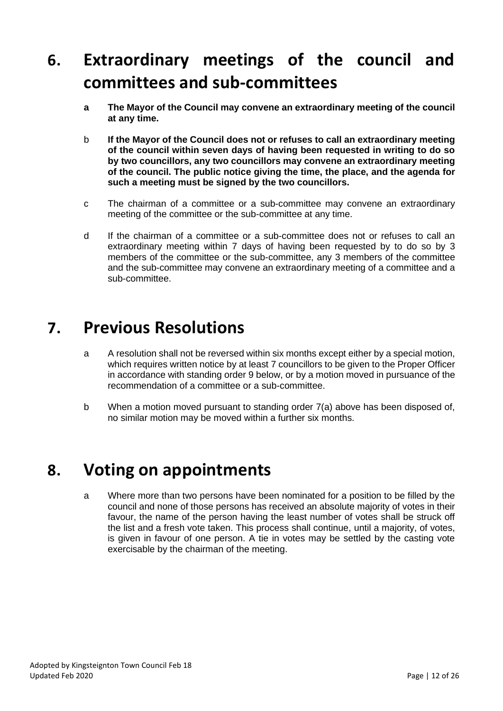## <span id="page-12-0"></span>**6. Extraordinary meetings of the council and committees and sub-committees**

- **a The Mayor of the Council may convene an extraordinary meeting of the council at any time.**
- b **If the Mayor of the Council does not or refuses to call an extraordinary meeting of the council within seven days of having been requested in writing to do so by two councillors, any two councillors may convene an extraordinary meeting of the council. The public notice giving the time, the place, and the agenda for such a meeting must be signed by the two councillors.**
- c The chairman of a committee or a sub-committee may convene an extraordinary meeting of the committee or the sub-committee at any time.
- d If the chairman of a committee or a sub-committee does not or refuses to call an extraordinary meeting within 7 days of having been requested by to do so by 3 members of the committee or the sub-committee, any 3 members of the committee and the sub-committee may convene an extraordinary meeting of a committee and a sub-committee.

#### <span id="page-12-1"></span>**7. Previous Resolutions**

- a A resolution shall not be reversed within six months except either by a special motion, which requires written notice by at least 7 councillors to be given to the Proper Officer in accordance with standing order 9 below, or by a motion moved in pursuance of the recommendation of a committee or a sub-committee.
- b When a motion moved pursuant to standing order 7(a) above has been disposed of, no similar motion may be moved within a further six months.

#### <span id="page-12-2"></span>**8. Voting on appointments**

a Where more than two persons have been nominated for a position to be filled by the council and none of those persons has received an absolute majority of votes in their favour, the name of the person having the least number of votes shall be struck off the list and a fresh vote taken. This process shall continue, until a majority, of votes, is given in favour of one person. A tie in votes may be settled by the casting vote exercisable by the chairman of the meeting.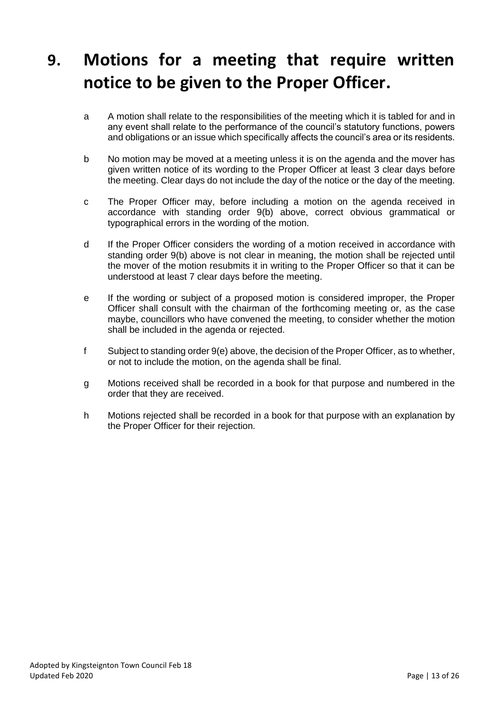## <span id="page-13-0"></span>**9. Motions for a meeting that require written notice to be given to the Proper Officer.**

- a A motion shall relate to the responsibilities of the meeting which it is tabled for and in any event shall relate to the performance of the council's statutory functions, powers and obligations or an issue which specifically affects the council's area or its residents.
- b No motion may be moved at a meeting unless it is on the agenda and the mover has given written notice of its wording to the Proper Officer at least 3 clear days before the meeting. Clear days do not include the day of the notice or the day of the meeting.
- c The Proper Officer may, before including a motion on the agenda received in accordance with standing order 9(b) above, correct obvious grammatical or typographical errors in the wording of the motion.
- d If the Proper Officer considers the wording of a motion received in accordance with standing order 9(b) above is not clear in meaning, the motion shall be rejected until the mover of the motion resubmits it in writing to the Proper Officer so that it can be understood at least 7 clear days before the meeting.
- e If the wording or subject of a proposed motion is considered improper, the Proper Officer shall consult with the chairman of the forthcoming meeting or, as the case maybe, councillors who have convened the meeting, to consider whether the motion shall be included in the agenda or rejected.
- f Subject to standing order 9(e) above, the decision of the Proper Officer, as to whether, or not to include the motion, on the agenda shall be final.
- g Motions received shall be recorded in a book for that purpose and numbered in the order that they are received.
- h Motions rejected shall be recorded in a book for that purpose with an explanation by the Proper Officer for their rejection.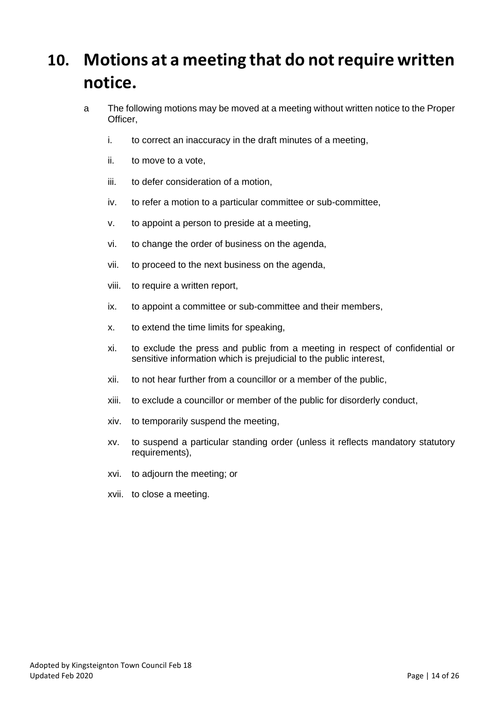## <span id="page-14-0"></span>**10. Motions at a meeting that do not require written notice.**

- a The following motions may be moved at a meeting without written notice to the Proper Officer,
	- i. to correct an inaccuracy in the draft minutes of a meeting,
	- ii. to move to a vote,
	- iii. to defer consideration of a motion,
	- iv. to refer a motion to a particular committee or sub-committee,
	- v. to appoint a person to preside at a meeting,
	- vi. to change the order of business on the agenda,
	- vii. to proceed to the next business on the agenda,
	- viii. to require a written report,
	- ix. to appoint a committee or sub-committee and their members,
	- x. to extend the time limits for speaking,
	- xi. to exclude the press and public from a meeting in respect of confidential or sensitive information which is prejudicial to the public interest,
	- xii. to not hear further from a councillor or a member of the public,
	- xiii. to exclude a councillor or member of the public for disorderly conduct,
	- xiv. to temporarily suspend the meeting,
	- xv. to suspend a particular standing order (unless it reflects mandatory statutory requirements),
	- xvi. to adjourn the meeting; or
	- xvii. to close a meeting.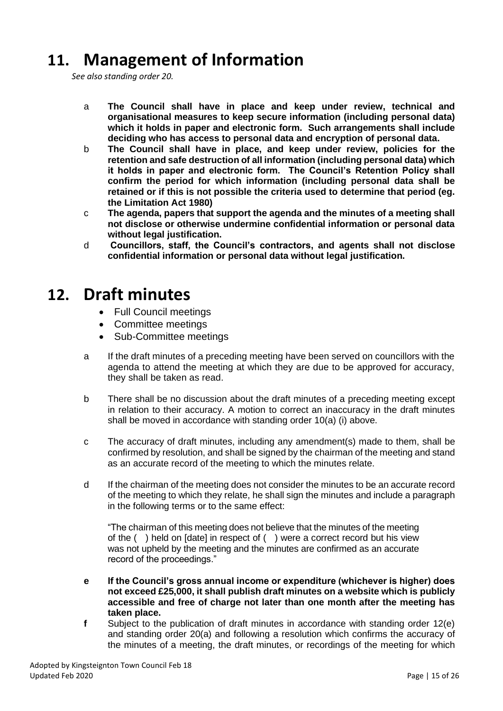#### **11. Management of Information**

*See also standing order 20.*

- a **The Council shall have in place and keep under review, technical and organisational measures to keep secure information (including personal data) which it holds in paper and electronic form. Such arrangements shall include deciding who has access to personal data and encryption of personal data.**
- b **The Council shall have in place, and keep under review, policies for the retention and safe destruction of all information (including personal data) which it holds in paper and electronic form. The Council's Retention Policy shall confirm the period for which information (including personal data shall be retained or if this is not possible the criteria used to determine that period (eg. the Limitation Act 1980)**
- c **The agenda, papers that support the agenda and the minutes of a meeting shall not disclose or otherwise undermine confidential information or personal data without legal justification.**
- d **Councillors, staff, the Council's contractors, and agents shall not disclose confidential information or personal data without legal justification.**

#### <span id="page-15-0"></span>**12. Draft minutes**

- Full Council meetings
- Committee meetings
- Sub-Committee meetings
- a If the draft minutes of a preceding meeting have been served on councillors with the agenda to attend the meeting at which they are due to be approved for accuracy, they shall be taken as read.
- b There shall be no discussion about the draft minutes of a preceding meeting except in relation to their accuracy. A motion to correct an inaccuracy in the draft minutes shall be moved in accordance with standing order 10(a) (i) above.
- c The accuracy of draft minutes, including any amendment(s) made to them, shall be confirmed by resolution, and shall be signed by the chairman of the meeting and stand as an accurate record of the meeting to which the minutes relate.
- d If the chairman of the meeting does not consider the minutes to be an accurate record of the meeting to which they relate, he shall sign the minutes and include a paragraph in the following terms or to the same effect:

"The chairman of this meeting does not believe that the minutes of the meeting of the ( ) held on [date] in respect of ( ) were a correct record but his view was not upheld by the meeting and the minutes are confirmed as an accurate record of the proceedings."

- **e If the Council's gross annual income or expenditure (whichever is higher) does not exceed £25,000, it shall publish draft minutes on a website which is publicly accessible and free of charge not later than one month after the meeting has taken place.**
- **f** Subject to the publication of draft minutes in accordance with standing order 12(e) and standing order 20(a) and following a resolution which confirms the accuracy of the minutes of a meeting, the draft minutes, or recordings of the meeting for which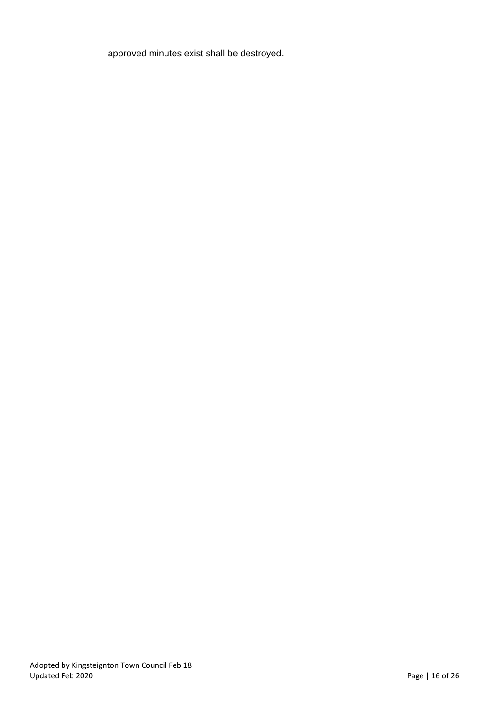approved minutes exist shall be destroyed.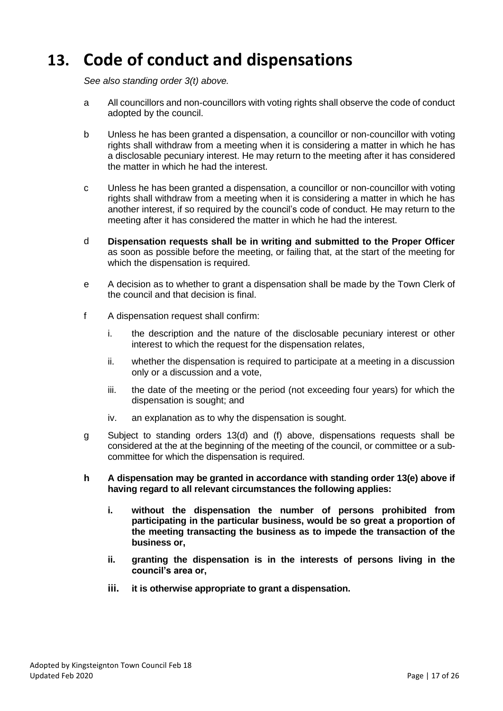### <span id="page-17-0"></span>**13. Code of conduct and dispensations**

*See also standing order 3(t) above.* 

- a All councillors and non-councillors with voting rights shall observe the code of conduct adopted by the council.
- b Unless he has been granted a dispensation, a councillor or non-councillor with voting rights shall withdraw from a meeting when it is considering a matter in which he has a disclosable pecuniary interest. He may return to the meeting after it has considered the matter in which he had the interest.
- c Unless he has been granted a dispensation, a councillor or non-councillor with voting rights shall withdraw from a meeting when it is considering a matter in which he has another interest, if so required by the council's code of conduct. He may return to the meeting after it has considered the matter in which he had the interest.
- d **Dispensation requests shall be in writing and submitted to the Proper Officer** as soon as possible before the meeting, or failing that, at the start of the meeting for which the dispensation is required.
- e A decision as to whether to grant a dispensation shall be made by the Town Clerk of the council and that decision is final.
- f A dispensation request shall confirm:
	- i. the description and the nature of the disclosable pecuniary interest or other interest to which the request for the dispensation relates,
	- ii. whether the dispensation is required to participate at a meeting in a discussion only or a discussion and a vote,
	- iii. the date of the meeting or the period (not exceeding four years) for which the dispensation is sought; and
	- iv. an explanation as to why the dispensation is sought.
- g Subject to standing orders 13(d) and (f) above, dispensations requests shall be considered at the at the beginning of the meeting of the council, or committee or a subcommittee for which the dispensation is required.
- **h A dispensation may be granted in accordance with standing order 13(e) above if having regard to all relevant circumstances the following applies:**
	- **i. without the dispensation the number of persons prohibited from participating in the particular business, would be so great a proportion of the meeting transacting the business as to impede the transaction of the business or,**
	- **ii. granting the dispensation is in the interests of persons living in the council's area or,**
	- **iii. it is otherwise appropriate to grant a dispensation.**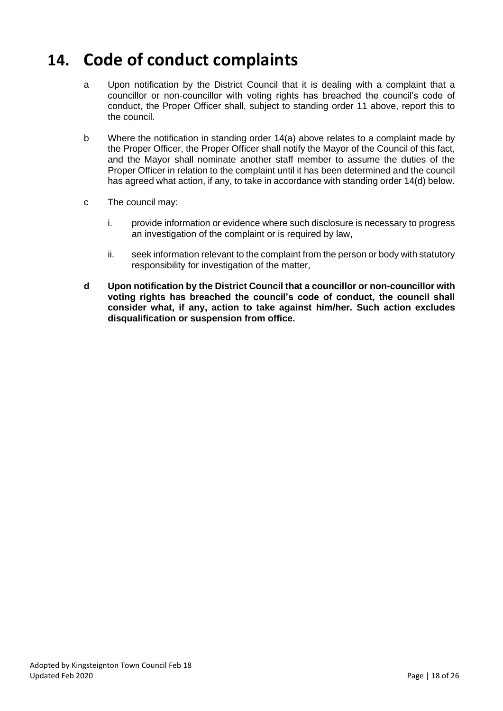#### <span id="page-18-0"></span>**14. Code of conduct complaints**

- a Upon notification by the District Council that it is dealing with a complaint that a councillor or non-councillor with voting rights has breached the council's code of conduct, the Proper Officer shall, subject to standing order 11 above, report this to the council.
- b Where the notification in standing order 14(a) above relates to a complaint made by the Proper Officer, the Proper Officer shall notify the Mayor of the Council of this fact, and the Mayor shall nominate another staff member to assume the duties of the Proper Officer in relation to the complaint until it has been determined and the council has agreed what action, if any, to take in accordance with standing order 14(d) below.
- c The council may:
	- i. provide information or evidence where such disclosure is necessary to progress an investigation of the complaint or is required by law,
	- ii. seek information relevant to the complaint from the person or body with statutory responsibility for investigation of the matter,
- **d Upon notification by the District Council that a councillor or non-councillor with voting rights has breached the council's code of conduct, the council shall consider what, if any, action to take against him/her. Such action excludes disqualification or suspension from office.**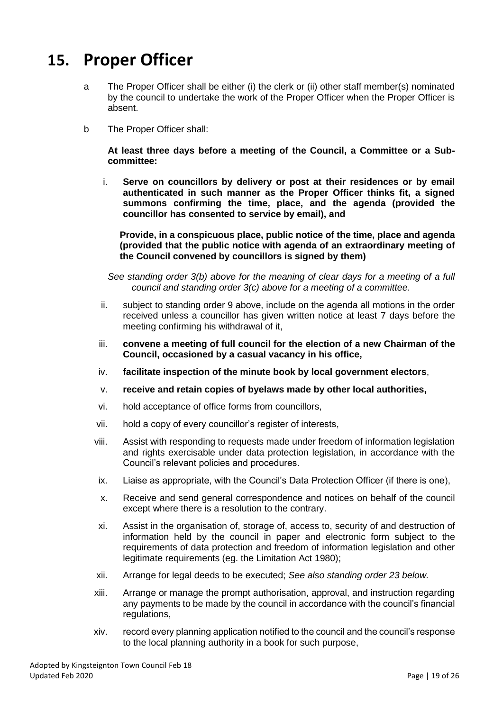#### <span id="page-19-0"></span>**15. Proper Officer**

- a The Proper Officer shall be either (i) the clerk or (ii) other staff member(s) nominated by the council to undertake the work of the Proper Officer when the Proper Officer is absent.
- b The Proper Officer shall:

**At least three days before a meeting of the Council, a Committee or a Subcommittee:**

i. **Serve on councillors by delivery or post at their residences or by email authenticated in such manner as the Proper Officer thinks fit, a signed summons confirming the time, place, and the agenda (provided the councillor has consented to service by email), and**

**Provide, in a conspicuous place, public notice of the time, place and agenda (provided that the public notice with agenda of an extraordinary meeting of the Council convened by councillors is signed by them)**

*See standing order 3(b) above for the meaning of clear days for a meeting of a full council and standing order 3(c) above for a meeting of a committee.*

- ii. subject to standing order 9 above, include on the agenda all motions in the order received unless a councillor has given written notice at least 7 days before the meeting confirming his withdrawal of it,
- iii. **convene a meeting of full council for the election of a new Chairman of the Council, occasioned by a casual vacancy in his office,**
- iv. **facilitate inspection of the minute book by local government electors**,
- v. **receive and retain copies of byelaws made by other local authorities,**
- vi. hold acceptance of office forms from councillors,
- vii. hold a copy of every councillor's register of interests,
- viii. Assist with responding to requests made under freedom of information legislation and rights exercisable under data protection legislation, in accordance with the Council's relevant policies and procedures.
- ix. Liaise as appropriate, with the Council's Data Protection Officer (if there is one),
- x. Receive and send general correspondence and notices on behalf of the council except where there is a resolution to the contrary.
- xi. Assist in the organisation of, storage of, access to, security of and destruction of information held by the council in paper and electronic form subject to the requirements of data protection and freedom of information legislation and other legitimate requirements (eg. the Limitation Act 1980);
- xii. Arrange for legal deeds to be executed; *See also standing order 23 below.*
- xiii. Arrange or manage the prompt authorisation, approval, and instruction regarding any payments to be made by the council in accordance with the council's financial regulations,
- xiv. record every planning application notified to the council and the council's response to the local planning authority in a book for such purpose,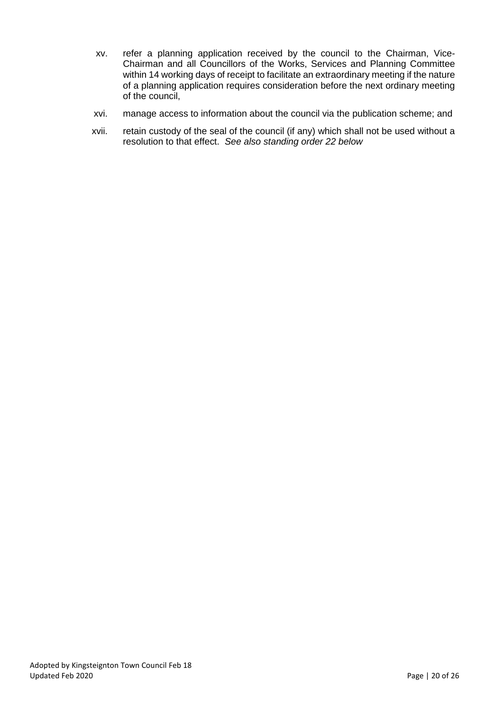- xv. refer a planning application received by the council to the Chairman, Vice-Chairman and all Councillors of the Works, Services and Planning Committee within 14 working days of receipt to facilitate an extraordinary meeting if the nature of a planning application requires consideration before the next ordinary meeting of the council,
- xvi. manage access to information about the council via the publication scheme; and
- xvii. retain custody of the seal of the council (if any) which shall not be used without a resolution to that effect. *See also standing order 22 below*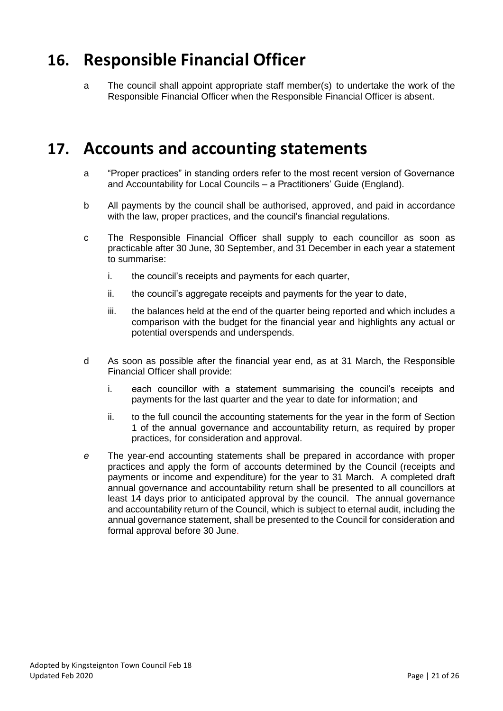#### <span id="page-21-0"></span>**16. Responsible Financial Officer**

a The council shall appoint appropriate staff member(s) to undertake the work of the Responsible Financial Officer when the Responsible Financial Officer is absent.

#### <span id="page-21-1"></span>**17. Accounts and accounting statements**

- a "Proper practices" in standing orders refer to the most recent version of Governance and Accountability for Local Councils – a Practitioners' Guide (England).
- b All payments by the council shall be authorised, approved, and paid in accordance with the law, proper practices, and the council's financial regulations.
- c The Responsible Financial Officer shall supply to each councillor as soon as practicable after 30 June, 30 September, and 31 December in each year a statement to summarise:
	- i. the council's receipts and payments for each quarter,
	- ii. the council's aggregate receipts and payments for the year to date,
	- iii. the balances held at the end of the quarter being reported and which includes a comparison with the budget for the financial year and highlights any actual or potential overspends and underspends.
- d As soon as possible after the financial year end, as at 31 March, the Responsible Financial Officer shall provide:
	- i. each councillor with a statement summarising the council's receipts and payments for the last quarter and the year to date for information; and
	- ii. to the full council the accounting statements for the year in the form of Section 1 of the annual governance and accountability return, as required by proper practices, for consideration and approval.
- *e* The year-end accounting statements shall be prepared in accordance with proper practices and apply the form of accounts determined by the Council (receipts and payments or income and expenditure) for the year to 31 March. A completed draft annual governance and accountability return shall be presented to all councillors at least 14 days prior to anticipated approval by the council. The annual governance and accountability return of the Council, which is subject to eternal audit, including the annual governance statement, shall be presented to the Council for consideration and formal approval before 30 June.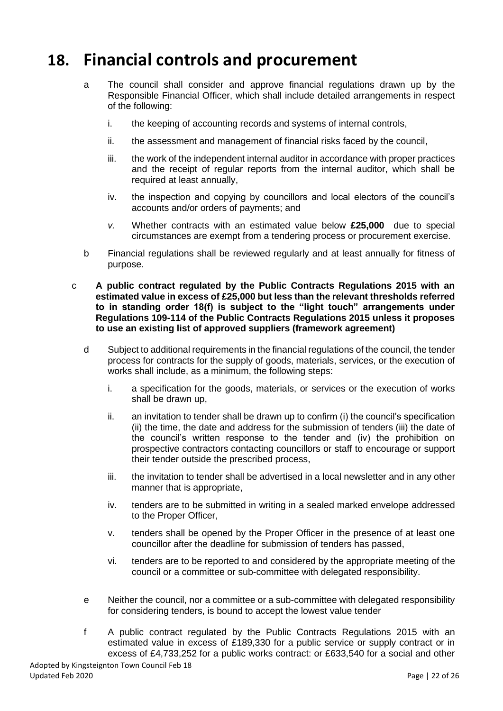#### <span id="page-22-0"></span>**18. Financial controls and procurement**

- a The council shall consider and approve financial regulations drawn up by the Responsible Financial Officer, which shall include detailed arrangements in respect of the following:
	- i. the keeping of accounting records and systems of internal controls,
	- ii. the assessment and management of financial risks faced by the council,
	- iii. the work of the independent internal auditor in accordance with proper practices and the receipt of regular reports from the internal auditor, which shall be required at least annually,
	- iv. the inspection and copying by councillors and local electors of the council's accounts and/or orders of payments; and
	- *v.* Whether contracts with an estimated value below **£25,000** due to special circumstances are exempt from a tendering process or procurement exercise.
- b Financial regulations shall be reviewed regularly and at least annually for fitness of purpose.
- c **A public contract regulated by the Public Contracts Regulations 2015 with an estimated value in excess of £25,000 but less than the relevant thresholds referred to in standing order 18(f) is subject to the "light touch" arrangements under Regulations 109-114 of the Public Contracts Regulations 2015 unless it proposes to use an existing list of approved suppliers (framework agreement)**
	- d Subject to additional requirements in the financial regulations of the council, the tender process for contracts for the supply of goods, materials, services, or the execution of works shall include, as a minimum, the following steps:
		- i. a specification for the goods, materials, or services or the execution of works shall be drawn up,
		- ii. an invitation to tender shall be drawn up to confirm (i) the council's specification (ii) the time, the date and address for the submission of tenders (iii) the date of the council's written response to the tender and (iv) the prohibition on prospective contractors contacting councillors or staff to encourage or support their tender outside the prescribed process,
		- iii. the invitation to tender shall be advertised in a local newsletter and in any other manner that is appropriate,
		- iv. tenders are to be submitted in writing in a sealed marked envelope addressed to the Proper Officer,
		- v. tenders shall be opened by the Proper Officer in the presence of at least one councillor after the deadline for submission of tenders has passed,
		- vi. tenders are to be reported to and considered by the appropriate meeting of the council or a committee or sub-committee with delegated responsibility.
	- e Neither the council, nor a committee or a sub-committee with delegated responsibility for considering tenders, is bound to accept the lowest value tender
	- f A public contract regulated by the Public Contracts Regulations 2015 with an estimated value in excess of £189,330 for a public service or supply contract or in excess of £4,733,252 for a public works contract: or £633,540 for a social and other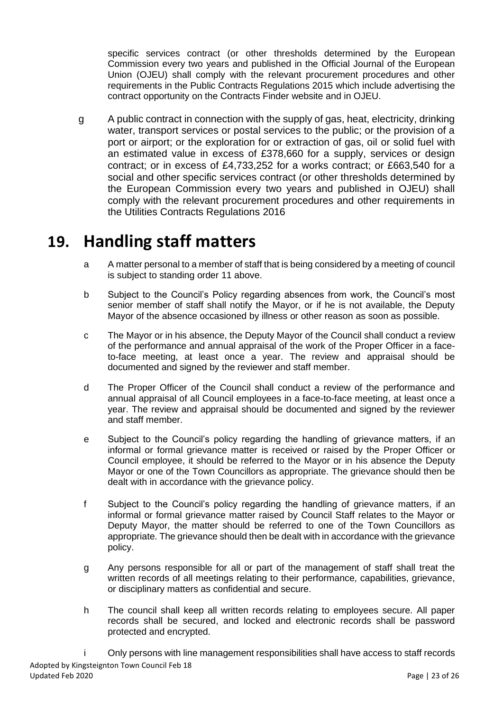specific services contract (or other thresholds determined by the European Commission every two years and published in the Official Journal of the European Union (OJEU) shall comply with the relevant procurement procedures and other requirements in the Public Contracts Regulations 2015 which include advertising the contract opportunity on the Contracts Finder website and in OJEU.

g A public contract in connection with the supply of gas, heat, electricity, drinking water, transport services or postal services to the public; or the provision of a port or airport; or the exploration for or extraction of gas, oil or solid fuel with an estimated value in excess of £378,660 for a supply, services or design contract; or in excess of £4,733,252 for a works contract; or £663,540 for a social and other specific services contract (or other thresholds determined by the European Commission every two years and published in OJEU) shall comply with the relevant procurement procedures and other requirements in the Utilities Contracts Regulations 2016

#### <span id="page-23-0"></span>**19. Handling staff matters**

- a A matter personal to a member of staff that is being considered by a meeting of council is subject to standing order 11 above.
- b Subject to the Council's Policy regarding absences from work, the Council's most senior member of staff shall notify the Mayor, or if he is not available, the Deputy Mayor of the absence occasioned by illness or other reason as soon as possible.
- c The Mayor or in his absence, the Deputy Mayor of the Council shall conduct a review of the performance and annual appraisal of the work of the Proper Officer in a faceto-face meeting, at least once a year. The review and appraisal should be documented and signed by the reviewer and staff member.
- d The Proper Officer of the Council shall conduct a review of the performance and annual appraisal of all Council employees in a face-to-face meeting, at least once a year. The review and appraisal should be documented and signed by the reviewer and staff member.
- e Subject to the Council's policy regarding the handling of grievance matters, if an informal or formal grievance matter is received or raised by the Proper Officer or Council employee, it should be referred to the Mayor or in his absence the Deputy Mayor or one of the Town Councillors as appropriate. The grievance should then be dealt with in accordance with the grievance policy.
- f Subject to the Council's policy regarding the handling of grievance matters, if an informal or formal grievance matter raised by Council Staff relates to the Mayor or Deputy Mayor, the matter should be referred to one of the Town Councillors as appropriate. The grievance should then be dealt with in accordance with the grievance policy.
- g Any persons responsible for all or part of the management of staff shall treat the written records of all meetings relating to their performance, capabilities, grievance, or disciplinary matters as confidential and secure.
- h The council shall keep all written records relating to employees secure. All paper records shall be secured, and locked and electronic records shall be password protected and encrypted.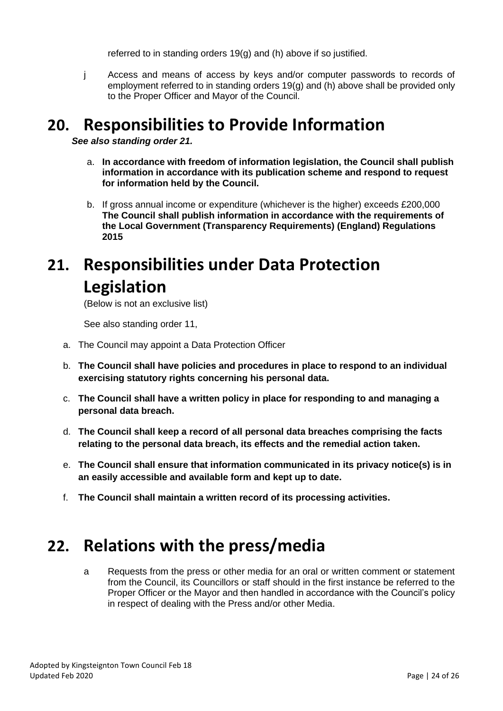referred to in standing orders 19(g) and (h) above if so justified.

j Access and means of access by keys and/or computer passwords to records of employment referred to in standing orders 19(g) and (h) above shall be provided only to the Proper Officer and Mayor of the Council.

#### **20. Responsibilities to Provide Information**

*See also standing order 21.*

- a. **In accordance with freedom of information legislation, the Council shall publish information in accordance with its publication scheme and respond to request for information held by the Council.**
- b. If gross annual income or expenditure (whichever is the higher) exceeds £200,000 **The Council shall publish information in accordance with the requirements of the Local Government (Transparency Requirements) (England) Regulations 2015**

## <span id="page-24-0"></span>**21. Responsibilities under Data Protection Legislation**

(Below is not an exclusive list)

See also standing order 11,

- a. The Council may appoint a Data Protection Officer
- b. **The Council shall have policies and procedures in place to respond to an individual exercising statutory rights concerning his personal data.**
- c. **The Council shall have a written policy in place for responding to and managing a personal data breach.**
- d. **The Council shall keep a record of all personal data breaches comprising the facts relating to the personal data breach, its effects and the remedial action taken.**
- e. **The Council shall ensure that information communicated in its privacy notice(s) is in an easily accessible and available form and kept up to date.**
- f. **The Council shall maintain a written record of its processing activities.**

#### **22. Relations with the press/media**

a Requests from the press or other media for an oral or written comment or statement from the Council, its Councillors or staff should in the first instance be referred to the Proper Officer or the Mayor and then handled in accordance with the Council's policy in respect of dealing with the Press and/or other Media.